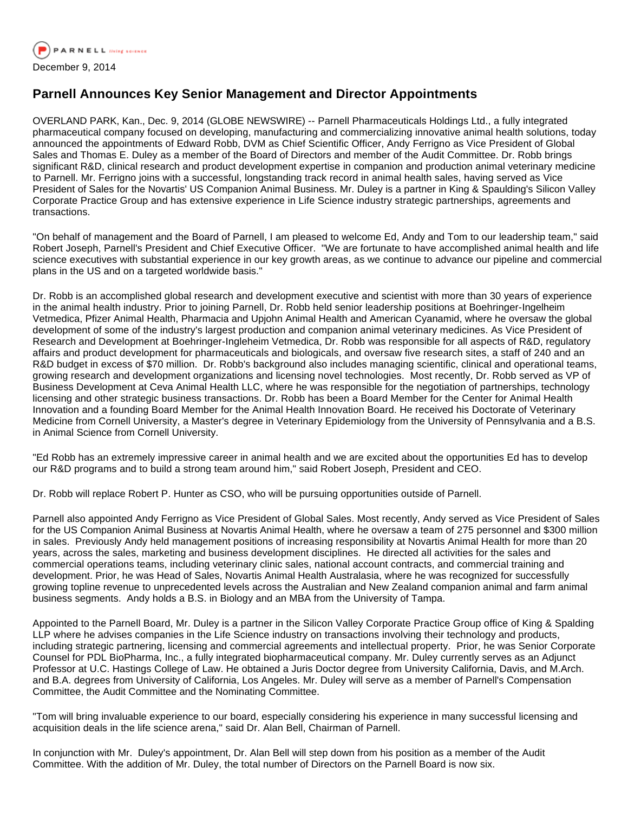

## **Parnell Announces Key Senior Management and Director Appointments**

OVERLAND PARK, Kan., Dec. 9, 2014 (GLOBE NEWSWIRE) -- Parnell Pharmaceuticals Holdings Ltd., a fully integrated pharmaceutical company focused on developing, manufacturing and commercializing innovative animal health solutions, today announced the appointments of Edward Robb, DVM as Chief Scientific Officer, Andy Ferrigno as Vice President of Global Sales and Thomas E. Duley as a member of the Board of Directors and member of the Audit Committee. Dr. Robb brings significant R&D, clinical research and product development expertise in companion and production animal veterinary medicine to Parnell. Mr. Ferrigno joins with a successful, longstanding track record in animal health sales, having served as Vice President of Sales for the Novartis' US Companion Animal Business. Mr. Duley is a partner in King & Spaulding's Silicon Valley Corporate Practice Group and has extensive experience in Life Science industry strategic partnerships, agreements and transactions.

"On behalf of management and the Board of Parnell, I am pleased to welcome Ed, Andy and Tom to our leadership team," said Robert Joseph, Parnell's President and Chief Executive Officer. "We are fortunate to have accomplished animal health and life science executives with substantial experience in our key growth areas, as we continue to advance our pipeline and commercial plans in the US and on a targeted worldwide basis."

Dr. Robb is an accomplished global research and development executive and scientist with more than 30 years of experience in the animal health industry. Prior to joining Parnell, Dr. Robb held senior leadership positions at Boehringer-Ingelheim Vetmedica, Pfizer Animal Health, Pharmacia and Upjohn Animal Health and American Cyanamid, where he oversaw the global development of some of the industry's largest production and companion animal veterinary medicines. As Vice President of Research and Development at Boehringer-Ingleheim Vetmedica, Dr. Robb was responsible for all aspects of R&D, regulatory affairs and product development for pharmaceuticals and biologicals, and oversaw five research sites, a staff of 240 and an R&D budget in excess of \$70 million. Dr. Robb's background also includes managing scientific, clinical and operational teams, growing research and development organizations and licensing novel technologies. Most recently, Dr. Robb served as VP of Business Development at Ceva Animal Health LLC, where he was responsible for the negotiation of partnerships, technology licensing and other strategic business transactions. Dr. Robb has been a Board Member for the Center for Animal Health Innovation and a founding Board Member for the Animal Health Innovation Board. He received his Doctorate of Veterinary Medicine from Cornell University, a Master's degree in Veterinary Epidemiology from the University of Pennsylvania and a B.S. in Animal Science from Cornell University.

"Ed Robb has an extremely impressive career in animal health and we are excited about the opportunities Ed has to develop our R&D programs and to build a strong team around him," said Robert Joseph, President and CEO.

Dr. Robb will replace Robert P. Hunter as CSO, who will be pursuing opportunities outside of Parnell.

Parnell also appointed Andy Ferrigno as Vice President of Global Sales. Most recently, Andy served as Vice President of Sales for the US Companion Animal Business at Novartis Animal Health, where he oversaw a team of 275 personnel and \$300 million in sales. Previously Andy held management positions of increasing responsibility at Novartis Animal Health for more than 20 years, across the sales, marketing and business development disciplines. He directed all activities for the sales and commercial operations teams, including veterinary clinic sales, national account contracts, and commercial training and development. Prior, he was Head of Sales, Novartis Animal Health Australasia, where he was recognized for successfully growing topline revenue to unprecedented levels across the Australian and New Zealand companion animal and farm animal business segments. Andy holds a B.S. in Biology and an MBA from the University of Tampa.

Appointed to the Parnell Board, Mr. Duley is a partner in the Silicon Valley Corporate Practice Group office of King & Spalding LLP where he advises companies in the Life Science industry on transactions involving their technology and products, including strategic partnering, licensing and commercial agreements and intellectual property. Prior, he was Senior Corporate Counsel for PDL BioPharma, Inc., a fully integrated biopharmaceutical company. Mr. Duley currently serves as an Adjunct Professor at U.C. Hastings College of Law. He obtained a Juris Doctor degree from University California, Davis, and M.Arch. and B.A. degrees from University of California, Los Angeles. Mr. Duley will serve as a member of Parnell's Compensation Committee, the Audit Committee and the Nominating Committee.

"Tom will bring invaluable experience to our board, especially considering his experience in many successful licensing and acquisition deals in the life science arena," said Dr. Alan Bell, Chairman of Parnell.

In conjunction with Mr. Duley's appointment, Dr. Alan Bell will step down from his position as a member of the Audit Committee. With the addition of Mr. Duley, the total number of Directors on the Parnell Board is now six.